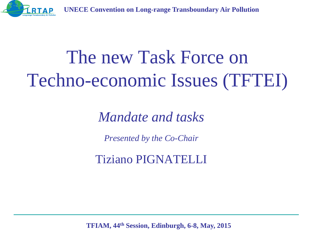

# The new Task Force on Techno-economic Issues (TFTEI)

*Mandate and tasks*

*Presented by the Co-Chair* 

Tiziano PIGNATELLI

**TFIAM, 44th Session, Edinburgh, 6-8, May, 2015**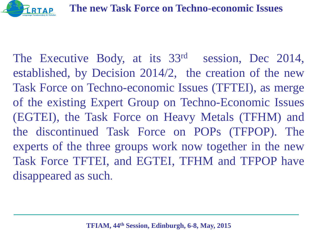

The Executive Body, at its 33rd session, Dec 2014, established, by Decision 2014/2, the creation of the new Task Force on Techno-economic Issues (TFTEI), as merge of the existing Expert Group on Techno-Economic Issues (EGTEI), the Task Force on Heavy Metals (TFHM) and the discontinued Task Force on POPs (TFPOP). The experts of the three groups work now together in the new Task Force TFTEI, and EGTEI, TFHM and TFPOP have disappeared as such.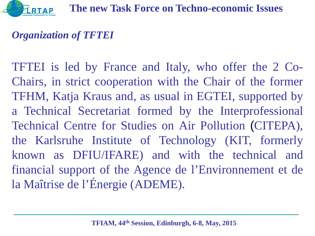

#### *Organization of TFTEI*

TFTEI is led by France and Italy, who offer the 2 Co-Chairs, in strict cooperation with the Chair of the former TFHM, Katja Kraus and, as usual in EGTEI, supported by a Technical Secretariat formed by the Interprofessional Technical Centre for Studies on Air Pollution (CITEPA), the Karlsruhe Institute of Technology (KIT, formerly known as DFIU/IFARE) and with the technical and financial support of the Agence de l'Environnement et de la Maîtrise de l'Énergie (ADEME).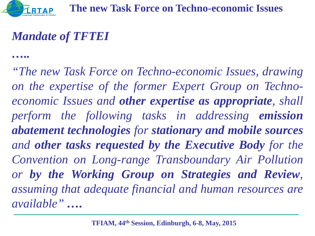*…..*

### *Mandate of TFTEI*

*"The new Task Force on Techno-economic Issues, drawing on the expertise of the former Expert Group on Technoeconomic Issues and other expertise as appropriate, shall perform the following tasks in addressing emission abatement technologies for stationary and mobile sources and other tasks requested by the Executive Body for the Convention on Long-range Transboundary Air Pollution or by the Working Group on Strategies and Review, assuming that adequate financial and human resources are available" ….*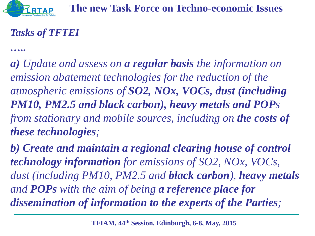#### *Tasks of TFTEI*

*…..*

*a) Update and assess on a regular basis the information on emission abatement technologies for the reduction of the atmospheric emissions of SO2, NOx, VOCs, dust (including PM10, PM2.5 and black carbon), heavy metals and POPs from stationary and mobile sources, including on the costs of these technologies;*

*b) Create and maintain a regional clearing house of control technology information for emissions of SO2, NOx, VOCs, dust (including PM10, PM2.5 and black carbon), heavy metals and POPs with the aim of being a reference place for dissemination of information to the experts of the Parties;*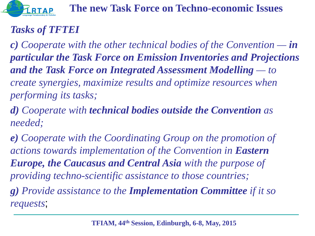

#### *Tasks of TFTEI*

*c) Cooperate with the other technical bodies of the Convention — in particular the Task Force on Emission Inventories and Projections and the Task Force on Integrated Assessment Modelling — to create synergies, maximize results and optimize resources when performing its tasks;*

*d) Cooperate with technical bodies outside the Convention as needed;*

*e) Cooperate with the Coordinating Group on the promotion of actions towards implementation of the Convention in Eastern Europe, the Caucasus and Central Asia with the purpose of providing techno-scientific assistance to those countries; g) Provide assistance to the Implementation Committee if it so requests*;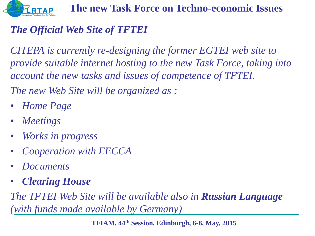

#### *The Official Web Site of TFTEI*

*CITEPA is currently re-designing the former EGTEI web site to provide suitable internet hosting to the new Task Force, taking into account the new tasks and issues of competence of TFTEI.*

*The new Web Site will be organized as :*

- *Home Page*
- *Meetings*
- *Works in progress*
- *Cooperation with EECCA*
- *Documents*
- *Clearing House*

*The TFTEI Web Site will be available also in Russian Language (with funds made available by Germany)*

**TFIAM, 44th Session, Edinburgh, 6-8, May, 2015**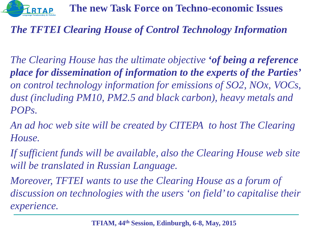

#### *The TFTEI Clearing House of Control Technology Information*

*The Clearing House has the ultimate objective 'of being a reference place for dissemination of information to the experts of the Parties' on control technology information for emissions of SO2, NOx, VOCs, dust (including PM10, PM2.5 and black carbon), heavy metals and POPs.* 

*An ad hoc web site will be created by CITEPA to host The Clearing House.*

*If sufficient funds will be available, also the Clearing House web site will be translated in Russian Language.*

*Moreover, TFTEI wants to use the Clearing House as a forum of discussion on technologies with the users 'on field' to capitalise their experience.*